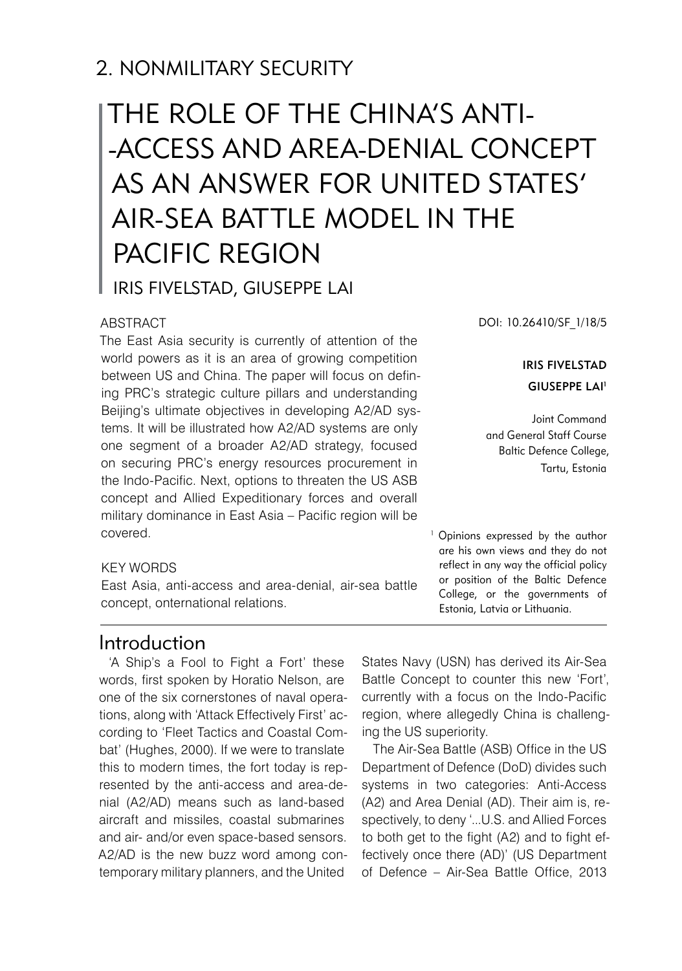# 2. NONMILITARY SECURITY

# THE ROLE OF THE CHINA'S ANTI- -ACCESS AND AREA-DENIAL CONCEPT AS AN ANSWER FOR UNITED STATES' AIR-SEA BATTLE MODEL IN THE PACIFIC REGION Iris FIVELSTAD, Giuseppe LAI

#### ABSTRACT

The East Asia security is currently of attention of the world powers as it is an area of growing competition between US and China. The paper will focus on defining PRC's strategic culture pillars and understanding Beijing's ultimate objectives in developing A2/AD systems. It will be illustrated how A2/AD systems are only one segment of a broader A2/AD strategy, focused on securing PRC's energy resources procurement in the Indo-Pacific. Next, options to threaten the US ASB concept and Allied Expeditionary forces and overall military dominance in East Asia – Pacific region will be covered.

DOI: 10.26410/SF\_1/18/5

#### Iris FIVELSTAD Giuseppe LAI1

Joint Command and General Staff Course Baltic Defence College, Tartu, Estonia

<sup>1</sup> Opinions expressed by the author are his own views and they do not reflect in any way the official policy or position of the Baltic Defence College, or the governments of Estonia, Latvia or Lithuania.

#### KEY WORDS

East Asia, anti-access and area-denial, air-sea battle concept, onternational relations.

### Introduction

'A Ship's a Fool to Fight a Fort' these words, first spoken by Horatio Nelson, are one of the six cornerstones of naval operations, along with 'Attack Effectively First' according to 'Fleet Tactics and Coastal Combat' (Hughes, 2000). If we were to translate this to modern times, the fort today is represented by the anti-access and area-denial (A2/AD) means such as land-based aircraft and missiles, coastal submarines and air- and/or even space-based sensors. A2/AD is the new buzz word among contemporary military planners, and the United

States Navy (USN) has derived its Air-Sea Battle Concept to counter this new 'Fort', currently with a focus on the Indo-Pacific region, where allegedly China is challenging the US superiority.

The Air-Sea Battle (ASB) Office in the US Department of Defence (DoD) divides such systems in two categories: Anti-Access (A2) and Area Denial (AD). Their aim is, respectively, to deny '...U.S. and Allied Forces to both get to the fight (A2) and to fight effectively once there (AD)' (US Department of Defence – Air-Sea Battle Office, 2013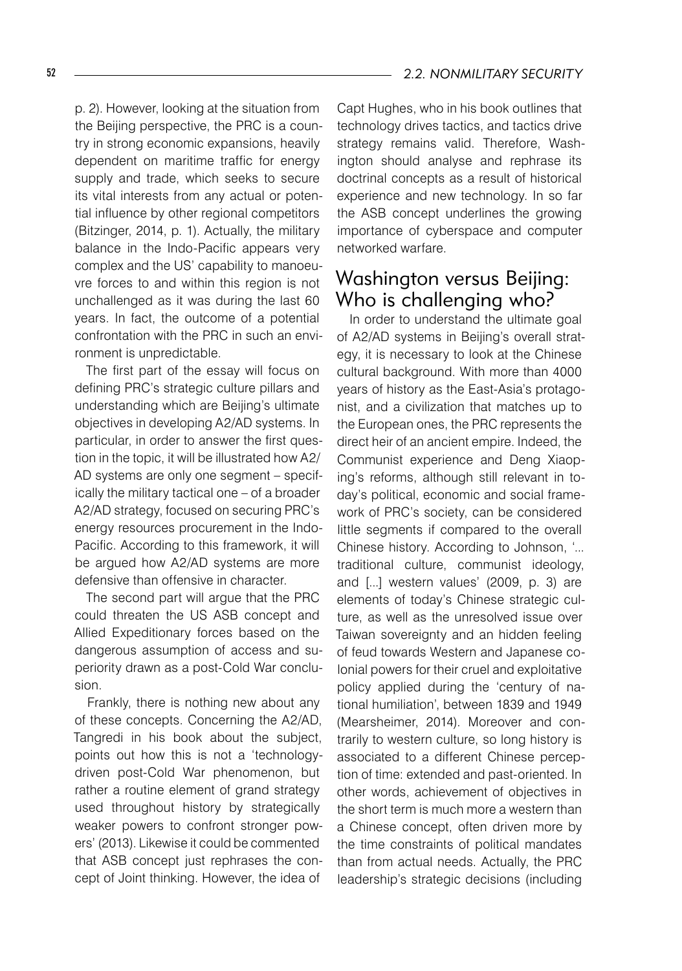p. 2). However, looking at the situation from the Beijing perspective, the PRC is a country in strong economic expansions, heavily dependent on maritime traffic for energy supply and trade, which seeks to secure its vital interests from any actual or potential influence by other regional competitors (Bitzinger, 2014, p. 1). Actually, the military balance in the Indo-Pacific appears very complex and the US' capability to manoeuvre forces to and within this region is not unchallenged as it was during the last 60 years. In fact, the outcome of a potential confrontation with the PRC in such an environment is unpredictable.

The first part of the essay will focus on defining PRC's strategic culture pillars and understanding which are Beijing's ultimate objectives in developing A2/AD systems. In particular, in order to answer the first question in the topic, it will be illustrated how A2/ AD systems are only one segment – specifically the military tactical one – of a broader A2/AD strategy, focused on securing PRC's energy resources procurement in the Indo-Pacific. According to this framework, it will be argued how A2/AD systems are more defensive than offensive in character.

The second part will argue that the PRC could threaten the US ASB concept and Allied Expeditionary forces based on the dangerous assumption of access and superiority drawn as a post-Cold War conclusion.

Frankly, there is nothing new about any of these concepts. Concerning the A2/AD, Tangredi in his book about the subject, points out how this is not a 'technologydriven post-Cold War phenomenon, but rather a routine element of grand strategy used throughout history by strategically weaker powers to confront stronger powers' (2013). Likewise it could be commented that ASB concept just rephrases the concept of Joint thinking. However, the idea of

Capt Hughes, who in his book outlines that technology drives tactics, and tactics drive strategy remains valid. Therefore, Washington should analyse and rephrase its doctrinal concepts as a result of historical experience and new technology. In so far the ASB concept underlines the growing importance of cyberspace and computer networked warfare.

### Washington versus Beijing: Who is challenging who?

In order to understand the ultimate goal of A2/AD systems in Beijing's overall strategy, it is necessary to look at the Chinese cultural background. With more than 4000 years of history as the East-Asia's protagonist, and a civilization that matches up to the European ones, the PRC represents the direct heir of an ancient empire. Indeed, the Communist experience and Deng Xiaoping's reforms, although still relevant in today's political, economic and social framework of PRC's society, can be considered little segments if compared to the overall Chinese history. According to Johnson, '... traditional culture, communist ideology, and [...] western values' (2009, p. 3) are elements of today's Chinese strategic culture, as well as the unresolved issue over Taiwan sovereignty and an hidden feeling of feud towards Western and Japanese colonial powers for their cruel and exploitative policy applied during the 'century of national humiliation', between 1839 and 1949 (Mearsheimer, 2014). Moreover and contrarily to western culture, so long history is associated to a different Chinese perception of time: extended and past-oriented. In other words, achievement of objectives in the short term is much more a western than a Chinese concept, often driven more by the time constraints of political mandates than from actual needs. Actually, the PRC leadership's strategic decisions (including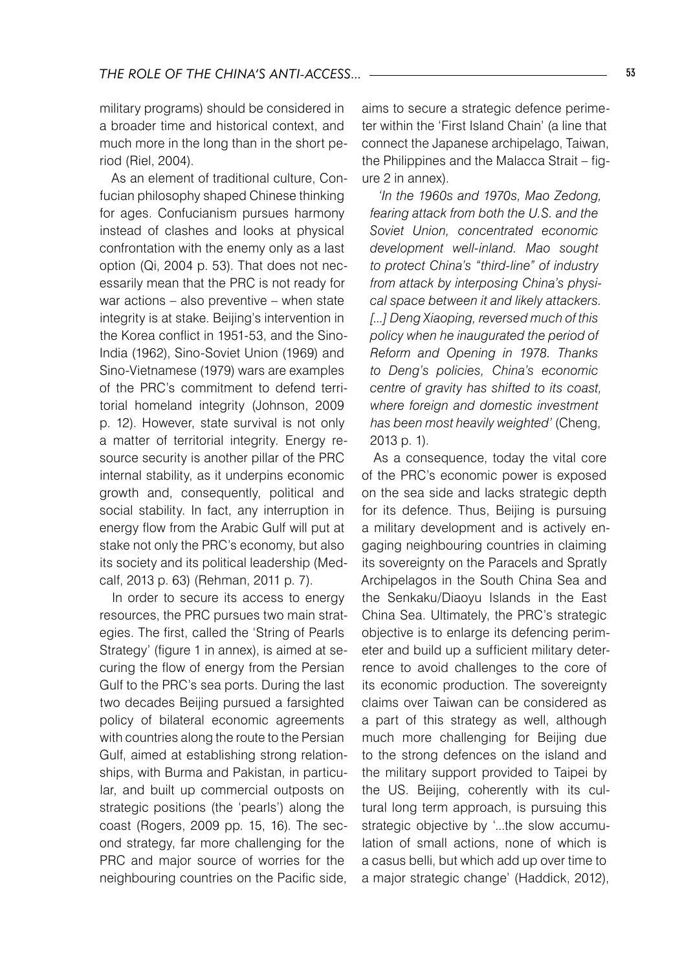military programs) should be considered in a broader time and historical context, and much more in the long than in the short period (Riel, 2004).

As an element of traditional culture, Confucian philosophy shaped Chinese thinking for ages. Confucianism pursues harmony instead of clashes and looks at physical confrontation with the enemy only as a last option (Qi, 2004 p. 53). That does not necessarily mean that the PRC is not ready for war actions – also preventive – when state integrity is at stake. Beijing's intervention in the Korea conflict in 1951-53, and the Sino-India (1962), Sino-Soviet Union (1969) and Sino-Vietnamese (1979) wars are examples of the PRC's commitment to defend territorial homeland integrity (Johnson, 2009 p. 12). However, state survival is not only a matter of territorial integrity. Energy resource security is another pillar of the PRC internal stability, as it underpins economic growth and, consequently, political and social stability. In fact, any interruption in energy flow from the Arabic Gulf will put at stake not only the PRC's economy, but also its society and its political leadership (Medcalf, 2013 p. 63) (Rehman, 2011 p. 7).

In order to secure its access to energy resources, the PRC pursues two main strategies. The first, called the 'String of Pearls Strategy' (figure 1 in annex), is aimed at securing the flow of energy from the Persian Gulf to the PRC's sea ports. During the last two decades Beijing pursued a farsighted policy of bilateral economic agreements with countries along the route to the Persian Gulf, aimed at establishing strong relationships, with Burma and Pakistan, in particular, and built up commercial outposts on strategic positions (the 'pearls') along the coast (Rogers, 2009 pp. 15, 16). The second strategy, far more challenging for the PRC and major source of worries for the neighbouring countries on the Pacific side, aims to secure a strategic defence perimeter within the 'First Island Chain' (a line that connect the Japanese archipelago, Taiwan, the Philippines and the Malacca Strait – figure 2 in annex).

*'In the 1960s and 1970s, Mao Zedong, fearing attack from both the U.S. and the Soviet Union, concentrated economic development well-inland. Mao sought to protect China's "third-line" of industry from attack by interposing China's physical space between it and likely attackers. [...] Deng Xiaoping, reversed much of this policy when he inaugurated the period of Reform and Opening in 1978. Thanks to Deng's policies, China's economic centre of gravity has shifted to its coast, where foreign and domestic investment has been most heavily weighted'* (Cheng, 2013 p. 1).

As a consequence, today the vital core of the PRC's economic power is exposed on the sea side and lacks strategic depth for its defence. Thus, Beijing is pursuing a military development and is actively engaging neighbouring countries in claiming its sovereignty on the Paracels and Spratly Archipelagos in the South China Sea and the Senkaku/Diaoyu Islands in the East China Sea. Ultimately, the PRC's strategic objective is to enlarge its defencing perimeter and build up a sufficient military deterrence to avoid challenges to the core of its economic production. The sovereignty claims over Taiwan can be considered as a part of this strategy as well, although much more challenging for Beijing due to the strong defences on the island and the military support provided to Taipei by the US. Beijing, coherently with its cultural long term approach, is pursuing this strategic objective by '...the slow accumulation of small actions, none of which is a casus belli, but which add up over time to a major strategic change' (Haddick, 2012),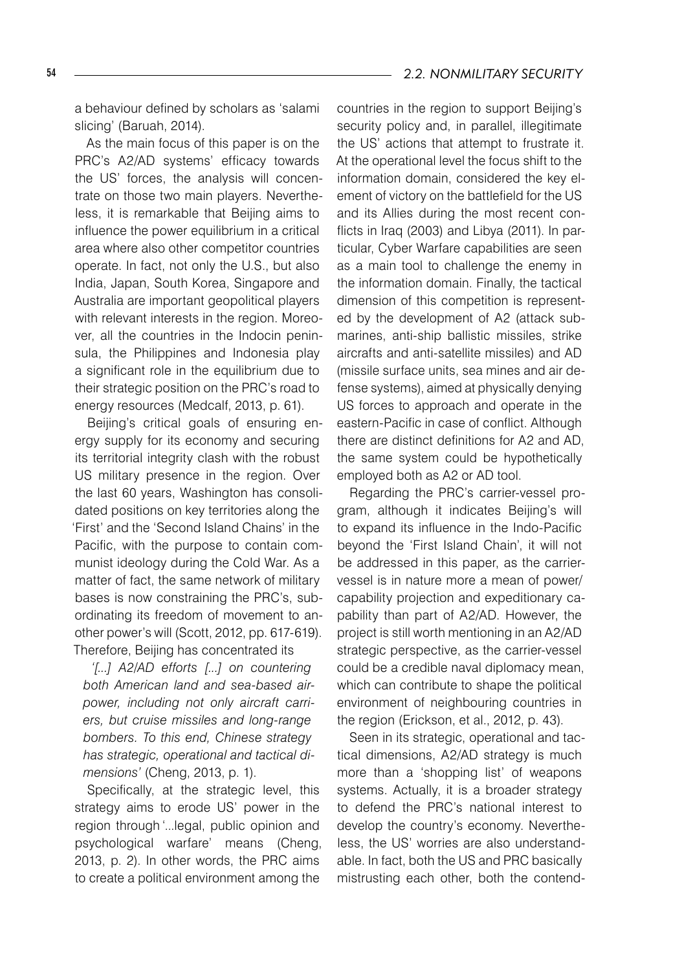#### 54 *2.2. NONMILITARY SECURITY*

a behaviour defined by scholars as 'salami slicing' (Baruah, 2014).

As the main focus of this paper is on the PRC's A2/AD systems' efficacy towards the US' forces, the analysis will concentrate on those two main players. Nevertheless, it is remarkable that Beijing aims to influence the power equilibrium in a critical area where also other competitor countries operate. In fact, not only the U.S., but also India, Japan, South Korea, Singapore and Australia are important geopolitical players with relevant interests in the region. Moreover, all the countries in the Indocin peninsula, the Philippines and Indonesia play a significant role in the equilibrium due to their strategic position on the PRC's road to energy resources (Medcalf, 2013, p. 61).

Beijing's critical goals of ensuring energy supply for its economy and securing its territorial integrity clash with the robust US military presence in the region. Over the last 60 years, Washington has consolidated positions on key territories along the 'First' and the 'Second Island Chains' in the Pacific, with the purpose to contain communist ideology during the Cold War. As a matter of fact, the same network of military bases is now constraining the PRC's, subordinating its freedom of movement to another power's will (Scott, 2012, pp. 617-619). Therefore, Beijing has concentrated its

*'[...] A2/AD efforts [...] on countering both American land and sea-based airpower, including not only aircraft carriers, but cruise missiles and long-range bombers. To this end, Chinese strategy has strategic, operational and tactical dimensions'* (Cheng, 2013, p. 1).

Specifically, at the strategic level, this strategy aims to erode US' power in the region through '...legal, public opinion and psychological warfare' means (Cheng, 2013, p. 2). In other words, the PRC aims to create a political environment among the

countries in the region to support Beijing's security policy and, in parallel, illegitimate the US' actions that attempt to frustrate it. At the operational level the focus shift to the information domain, considered the key element of victory on the battlefield for the US and its Allies during the most recent conflicts in Iraq (2003) and Libya (2011). In particular, Cyber Warfare capabilities are seen as a main tool to challenge the enemy in the information domain. Finally, the tactical dimension of this competition is represented by the development of A2 (attack submarines, anti-ship ballistic missiles, strike aircrafts and anti-satellite missiles) and AD (missile surface units, sea mines and air defense systems), aimed at physically denying US forces to approach and operate in the eastern-Pacific in case of conflict. Although there are distinct definitions for A2 and AD, the same system could be hypothetically employed both as A2 or AD tool.

Regarding the PRC's carrier-vessel program, although it indicates Beijing's will to expand its influence in the Indo-Pacific beyond the 'First Island Chain', it will not be addressed in this paper, as the carriervessel is in nature more a mean of power/ capability projection and expeditionary capability than part of A2/AD. However, the project is still worth mentioning in an A2/AD strategic perspective, as the carrier-vessel could be a credible naval diplomacy mean, which can contribute to shape the political environment of neighbouring countries in the region (Erickson, et al., 2012, p. 43).

Seen in its strategic, operational and tactical dimensions, A2/AD strategy is much more than a 'shopping list' of weapons systems. Actually, it is a broader strategy to defend the PRC's national interest to develop the country's economy. Nevertheless, the US' worries are also understandable. In fact, both the US and PRC basically mistrusting each other, both the contend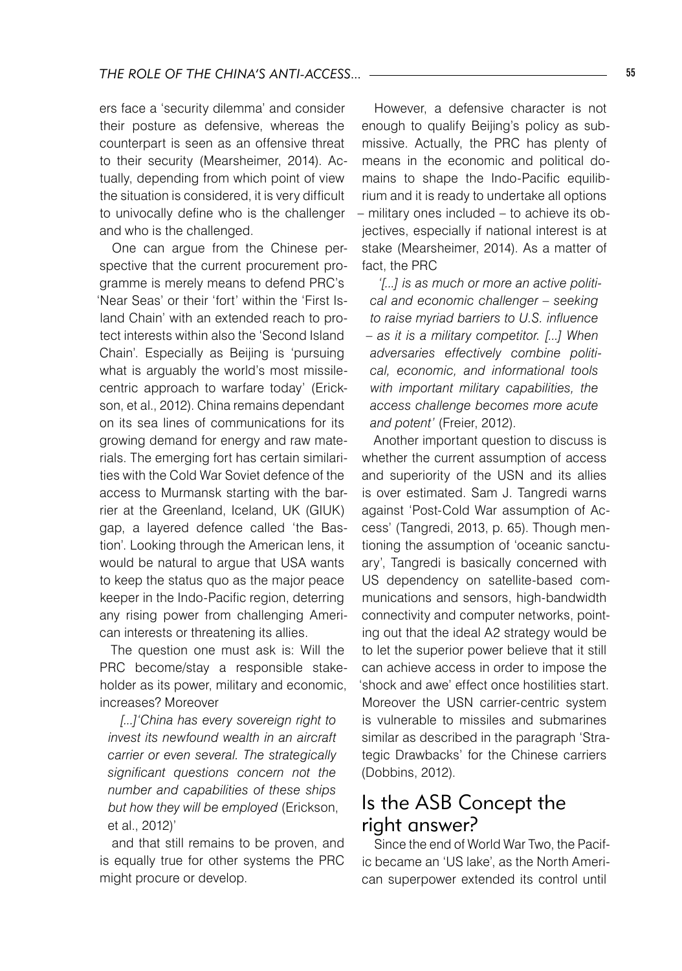ers face a 'security dilemma' and consider their posture as defensive, whereas the counterpart is seen as an offensive threat to their security (Mearsheimer, 2014). Actually, depending from which point of view the situation is considered, it is very difficult to univocally define who is the challenger and who is the challenged.

One can argue from the Chinese perspective that the current procurement programme is merely means to defend PRC's 'Near Seas' or their 'fort' within the 'First Island Chain' with an extended reach to protect interests within also the 'Second Island Chain'. Especially as Beijing is 'pursuing what is arguably the world's most missilecentric approach to warfare today' (Erickson, et al., 2012). China remains dependant on its sea lines of communications for its growing demand for energy and raw materials. The emerging fort has certain similarities with the Cold War Soviet defence of the access to Murmansk starting with the barrier at the Greenland, Iceland, UK (GIUK) gap, a layered defence called 'the Bastion'. Looking through the American lens, it would be natural to argue that USA wants to keep the status quo as the major peace keeper in the Indo-Pacific region, deterring any rising power from challenging American interests or threatening its allies.

The question one must ask is: Will the PRC become/stay a responsible stakeholder as its power, military and economic, increases? Moreover

*[...]'China has every sovereign right to invest its newfound wealth in an aircraft carrier or even several. The strategically significant questions concern not the number and capabilities of these ships but how they will be employed* (Erickson, et al., 2012)'

and that still remains to be proven, and is equally true for other systems the PRC might procure or develop.

However, a defensive character is not enough to qualify Beijing's policy as submissive. Actually, the PRC has plenty of means in the economic and political domains to shape the Indo-Pacific equilibrium and it is ready to undertake all options – military ones included – to achieve its objectives, especially if national interest is at stake (Mearsheimer, 2014). As a matter of fact, the PRC

*'[...] is as much or more an active political and economic challenger – seeking to raise myriad barriers to U.S. influence – as it is a military competitor. [...] When adversaries effectively combine political, economic, and informational tools with important military capabilities, the access challenge becomes more acute and potent'* (Freier, 2012).

Another important question to discuss is whether the current assumption of access and superiority of the USN and its allies is over estimated. Sam J. Tangredi warns against 'Post-Cold War assumption of Access' (Tangredi, 2013, p. 65). Though mentioning the assumption of 'oceanic sanctuary', Tangredi is basically concerned with US dependency on satellite-based communications and sensors, high-bandwidth connectivity and computer networks, pointing out that the ideal A2 strategy would be to let the superior power believe that it still can achieve access in order to impose the 'shock and awe' effect once hostilities start. Moreover the USN carrier-centric system is vulnerable to missiles and submarines similar as described in the paragraph 'Strategic Drawbacks' for the Chinese carriers (Dobbins, 2012).

# Is the ASB Concept the right answer?

Since the end of World War Two, the Pacific became an 'US lake', as the North American superpower extended its control until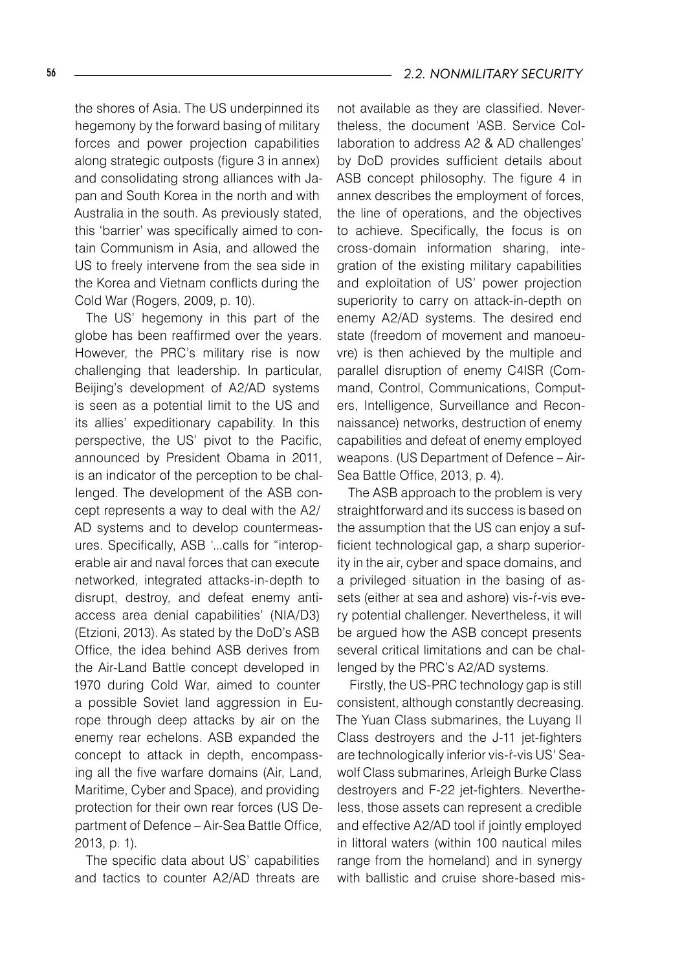the shores of Asia. The US underpinned its hegemony by the forward basing of military forces and power projection capabilities along strategic outposts (figure 3 in annex) and consolidating strong alliances with Japan and South Korea in the north and with Australia in the south. As previously stated, this 'barrier' was specifically aimed to contain Communism in Asia, and allowed the US to freely intervene from the sea side in the Korea and Vietnam conflicts during the Cold War (Rogers, 2009, p. 10).

The US' hegemony in this part of the globe has been reaffirmed over the years. However, the PRC's military rise is now challenging that leadership. In particular, Beijing's development of A2/AD systems is seen as a potential limit to the US and its allies' expeditionary capability. In this perspective, the US' pivot to the Pacific, announced by President Obama in 2011, is an indicator of the perception to be challenged. The development of the ASB concept represents a way to deal with the A2/ AD systems and to develop countermeasures. Specifically, ASB '...calls for "interoperable air and naval forces that can execute networked, integrated attacks-in-depth to disrupt, destroy, and defeat enemy antiaccess area denial capabilities' (NIA/D3) (Etzioni, 2013). As stated by the DoD's ASB Office, the idea behind ASB derives from the Air-Land Battle concept developed in 1970 during Cold War, aimed to counter a possible Soviet land aggression in Europe through deep attacks by air on the enemy rear echelons. ASB expanded the concept to attack in depth, encompassing all the five warfare domains (Air, Land, Maritime, Cyber and Space), and providing protection for their own rear forces (US Department of Defence – Air-Sea Battle Office, 2013, p. 1).

The specific data about US' capabilities and tactics to counter A2/AD threats are

not available as they are classified. Nevertheless, the document 'ASB. Service Collaboration to address A2 & AD challenges' by DoD provides sufficient details about ASB concept philosophy. The figure 4 in annex describes the employment of forces, the line of operations, and the objectives to achieve. Specifically, the focus is on cross-domain information sharing, integration of the existing military capabilities and exploitation of US' power projection superiority to carry on attack-in-depth on enemy A2/AD systems. The desired end state (freedom of movement and manoeuvre) is then achieved by the multiple and parallel disruption of enemy C4ISR (Command, Control, Communications, Computers, Intelligence, Surveillance and Reconnaissance) networks, destruction of enemy capabilities and defeat of enemy employed weapons. (US Department of Defence – Air-Sea Battle Office, 2013, p. 4).

The ASB approach to the problem is very straightforward and its success is based on the assumption that the US can enjoy a sufficient technological gap, a sharp superiority in the air, cyber and space domains, and a privileged situation in the basing of assets (either at sea and ashore) vis-ŕ-vis every potential challenger. Nevertheless, it will be argued how the ASB concept presents several critical limitations and can be challenged by the PRC's A2/AD systems.

Firstly, the US-PRC technology gap is still consistent, although constantly decreasing. The Yuan Class submarines, the Luyang II Class destroyers and the J-11 jet-fighters are technologically inferior vis-ŕ-vis US' Seawolf Class submarines, Arleigh Burke Class destroyers and F-22 jet-fighters. Nevertheless, those assets can represent a credible and effective A2/AD tool if jointly employed in littoral waters (within 100 nautical miles range from the homeland) and in synergy with ballistic and cruise shore-based mis-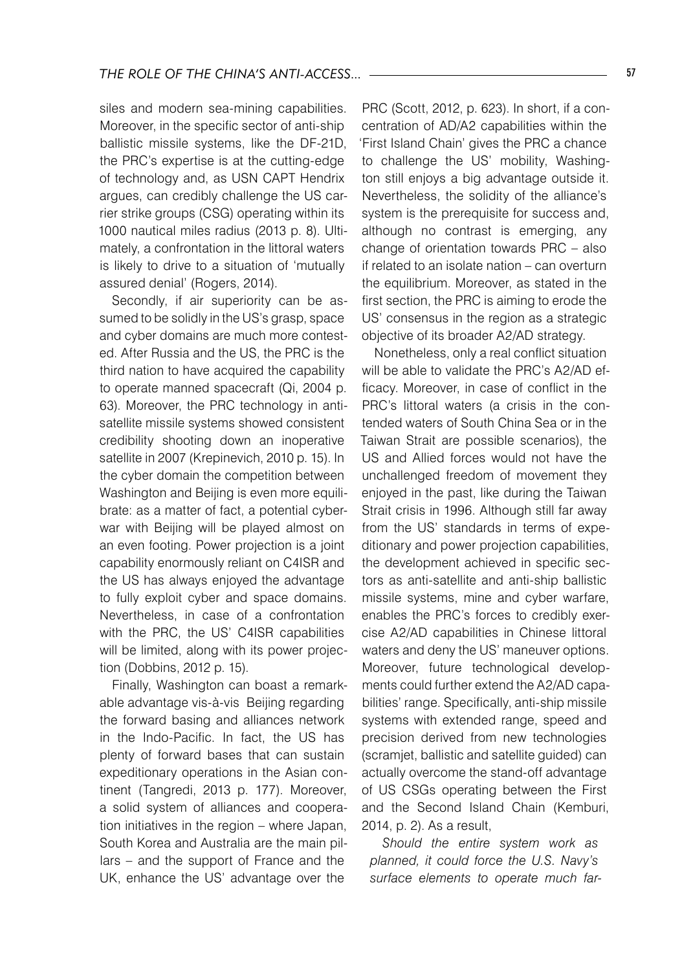siles and modern sea-mining capabilities. Moreover, in the specific sector of anti-ship ballistic missile systems, like the DF-21D, the PRC's expertise is at the cutting-edge of technology and, as USN CAPT Hendrix argues, can credibly challenge the US carrier strike groups (CSG) operating within its 1000 nautical miles radius (2013 p. 8). Ultimately, a confrontation in the littoral waters is likely to drive to a situation of 'mutually assured denial' (Rogers, 2014).

Secondly, if air superiority can be assumed to be solidly in the US's grasp, space and cyber domains are much more contested. After Russia and the US, the PRC is the third nation to have acquired the capability to operate manned spacecraft (Qi, 2004 p. 63). Moreover, the PRC technology in antisatellite missile systems showed consistent credibility shooting down an inoperative satellite in 2007 (Krepinevich, 2010 p. 15). In the cyber domain the competition between Washington and Beijing is even more equilibrate: as a matter of fact, a potential cyberwar with Beijing will be played almost on an even footing. Power projection is a joint capability enormously reliant on C4ISR and the US has always enjoyed the advantage to fully exploit cyber and space domains. Nevertheless, in case of a confrontation with the PRC, the US' C4ISR capabilities will be limited, along with its power projection (Dobbins, 2012 p. 15).

Finally, Washington can boast a remarkable advantage vis-à-vis Beijing regarding the forward basing and alliances network in the Indo-Pacific. In fact, the US has plenty of forward bases that can sustain expeditionary operations in the Asian continent (Tangredi, 2013 p. 177). Moreover, a solid system of alliances and cooperation initiatives in the region – where Japan, South Korea and Australia are the main pillars – and the support of France and the UK, enhance the US' advantage over the

PRC (Scott, 2012, p. 623). In short, if a concentration of AD/A2 capabilities within the 'First Island Chain' gives the PRC a chance to challenge the US' mobility, Washington still enjoys a big advantage outside it. Nevertheless, the solidity of the alliance's system is the prerequisite for success and, although no contrast is emerging, any change of orientation towards PRC – also if related to an isolate nation – can overturn the equilibrium. Moreover, as stated in the first section, the PRC is aiming to erode the US' consensus in the region as a strategic objective of its broader A2/AD strategy.

Nonetheless, only a real conflict situation will be able to validate the PRC's A2/AD efficacy. Moreover, in case of conflict in the PRC's littoral waters (a crisis in the contended waters of South China Sea or in the Taiwan Strait are possible scenarios), the US and Allied forces would not have the unchallenged freedom of movement they enjoyed in the past, like during the Taiwan Strait crisis in 1996. Although still far away from the US' standards in terms of expeditionary and power projection capabilities, the development achieved in specific sectors as anti-satellite and anti-ship ballistic missile systems, mine and cyber warfare, enables the PRC's forces to credibly exercise A2/AD capabilities in Chinese littoral waters and deny the US' maneuver options. Moreover, future technological developments could further extend the A2/AD capabilities' range. Specifically, anti-ship missile systems with extended range, speed and precision derived from new technologies (scramjet, ballistic and satellite guided) can actually overcome the stand-off advantage of US CSGs operating between the First and the Second Island Chain (Kemburi, 2014, p. 2). As a result,

*Should the entire system work as planned, it could force the U.S. Navy's surface elements to operate much far-*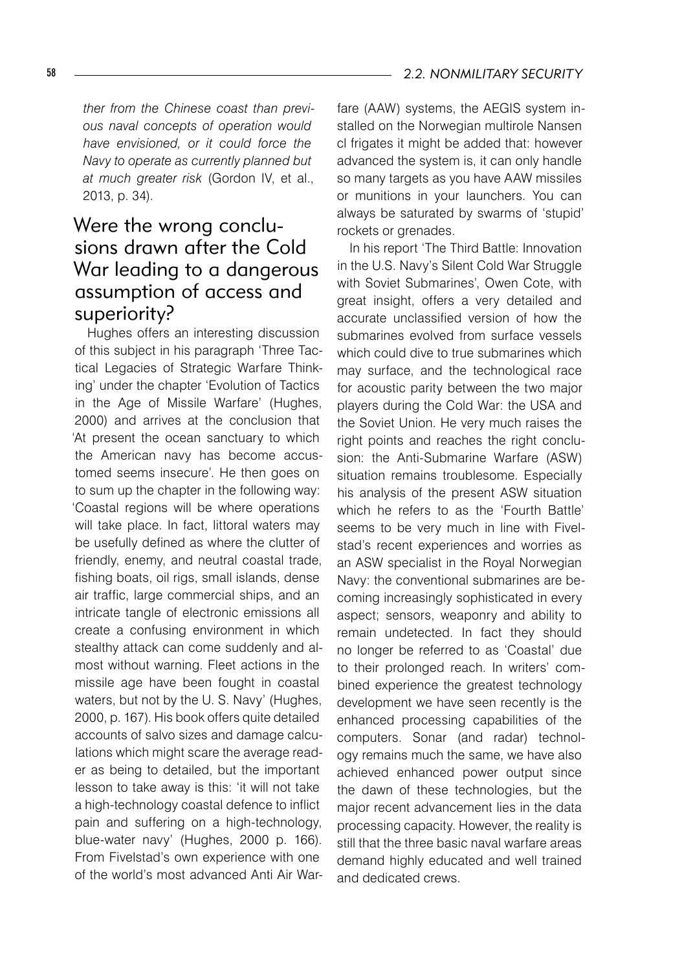*ther from the Chinese coast than previous naval concepts of operation would have envisioned, or it could force the Navy to operate as currently planned but at much greater risk* (Gordon IV, et al., 2013, p. 34).

## Were the wrong conclusions drawn after the Cold War leading to a dangerous assumption of access and superiority?

Hughes offers an interesting discussion of this subject in his paragraph 'Three Tactical Legacies of Strategic Warfare Thinking' under the chapter 'Evolution of Tactics in the Age of Missile Warfare' (Hughes, 2000) and arrives at the conclusion that 'At present the ocean sanctuary to which the American navy has become accustomed seems insecure'. He then goes on to sum up the chapter in the following way: 'Coastal regions will be where operations will take place. In fact, littoral waters may be usefully defined as where the clutter of friendly, enemy, and neutral coastal trade, fishing boats, oil rigs, small islands, dense air traffic, large commercial ships, and an intricate tangle of electronic emissions all create a confusing environment in which stealthy attack can come suddenly and almost without warning. Fleet actions in the missile age have been fought in coastal waters, but not by the U. S. Navy' (Hughes, 2000, p. 167). His book offers quite detailed accounts of salvo sizes and damage calculations which might scare the average reader as being to detailed, but the important lesson to take away is this: 'it will not take a high-technology coastal defence to inflict pain and suffering on a high-technology, blue-water navy' (Hughes, 2000 p. 166). From Fivelstad's own experience with one of the world's most advanced Anti Air Warfare (AAW) systems, the AEGIS system installed on the Norwegian multirole Nansen cl frigates it might be added that: however advanced the system is, it can only handle so many targets as you have AAW missiles or munitions in your launchers. You can always be saturated by swarms of 'stupid' rockets or grenades.

In his report 'The Third Battle: Innovation in the U.S. Navy's Silent Cold War Struggle with Soviet Submarines', Owen Cote, with great insight, offers a very detailed and accurate unclassified version of how the submarines evolved from surface vessels which could dive to true submarines which may surface, and the technological race for acoustic parity between the two major players during the Cold War: the USA and the Soviet Union. He very much raises the right points and reaches the right conclusion: the Anti-Submarine Warfare (ASW) situation remains troublesome. Especially his analysis of the present ASW situation which he refers to as the 'Fourth Battle' seems to be very much in line with Fivelstad's recent experiences and worries as an ASW specialist in the Royal Norwegian Navy: the conventional submarines are becoming increasingly sophisticated in every aspect; sensors, weaponry and ability to remain undetected. In fact they should no longer be referred to as 'Coastal' due to their prolonged reach. In writers' combined experience the greatest technology development we have seen recently is the enhanced processing capabilities of the computers. Sonar (and radar) technology remains much the same, we have also achieved enhanced power output since the dawn of these technologies, but the major recent advancement lies in the data processing capacity. However, the reality is still that the three basic naval warfare areas demand highly educated and well trained and dedicated crews.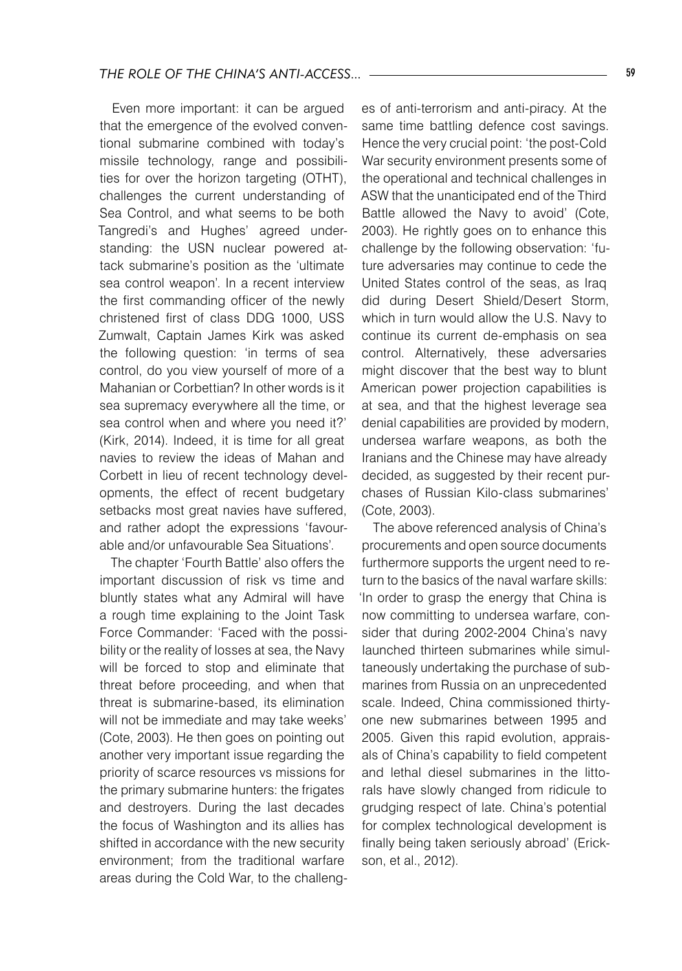Even more important: it can be argued that the emergence of the evolved conventional submarine combined with today's missile technology, range and possibilities for over the horizon targeting (OTHT), challenges the current understanding of Sea Control, and what seems to be both Tangredi's and Hughes' agreed understanding: the USN nuclear powered attack submarine's position as the 'ultimate sea control weapon'. In a recent interview the first commanding officer of the newly christened first of class DDG 1000, USS Zumwalt, Captain James Kirk was asked the following question: 'in terms of sea control, do you view yourself of more of a Mahanian or Corbettian? In other words is it sea supremacy everywhere all the time, or sea control when and where you need it?' (Kirk, 2014). Indeed, it is time for all great navies to review the ideas of Mahan and Corbett in lieu of recent technology developments, the effect of recent budgetary setbacks most great navies have suffered, and rather adopt the expressions 'favourable and/or unfavourable Sea Situations'.

The chapter 'Fourth Battle' also offers the important discussion of risk vs time and bluntly states what any Admiral will have a rough time explaining to the Joint Task Force Commander: 'Faced with the possibility or the reality of losses at sea, the Navy will be forced to stop and eliminate that threat before proceeding, and when that threat is submarine-based, its elimination will not be immediate and may take weeks' (Cote, 2003). He then goes on pointing out another very important issue regarding the priority of scarce resources vs missions for the primary submarine hunters: the frigates and destroyers. During the last decades the focus of Washington and its allies has shifted in accordance with the new security environment; from the traditional warfare areas during the Cold War, to the challenges of anti-terrorism and anti-piracy. At the same time battling defence cost savings. Hence the very crucial point: 'the post-Cold War security environment presents some of the operational and technical challenges in ASW that the unanticipated end of the Third Battle allowed the Navy to avoid' (Cote, 2003). He rightly goes on to enhance this challenge by the following observation: 'future adversaries may continue to cede the United States control of the seas, as Iraq did during Desert Shield/Desert Storm, which in turn would allow the U.S. Navy to continue its current de-emphasis on sea control. Alternatively, these adversaries might discover that the best way to blunt American power projection capabilities is at sea, and that the highest leverage sea denial capabilities are provided by modern, undersea warfare weapons, as both the Iranians and the Chinese may have already decided, as suggested by their recent purchases of Russian Kilo-class submarines' (Cote, 2003).

The above referenced analysis of China's procurements and open source documents furthermore supports the urgent need to return to the basics of the naval warfare skills: 'In order to grasp the energy that China is now committing to undersea warfare, consider that during 2002-2004 China's navy launched thirteen submarines while simultaneously undertaking the purchase of submarines from Russia on an unprecedented scale. Indeed, China commissioned thirtyone new submarines between 1995 and 2005. Given this rapid evolution, appraisals of China's capability to field competent and lethal diesel submarines in the littorals have slowly changed from ridicule to grudging respect of late. China's potential for complex technological development is finally being taken seriously abroad' (Erickson, et al., 2012).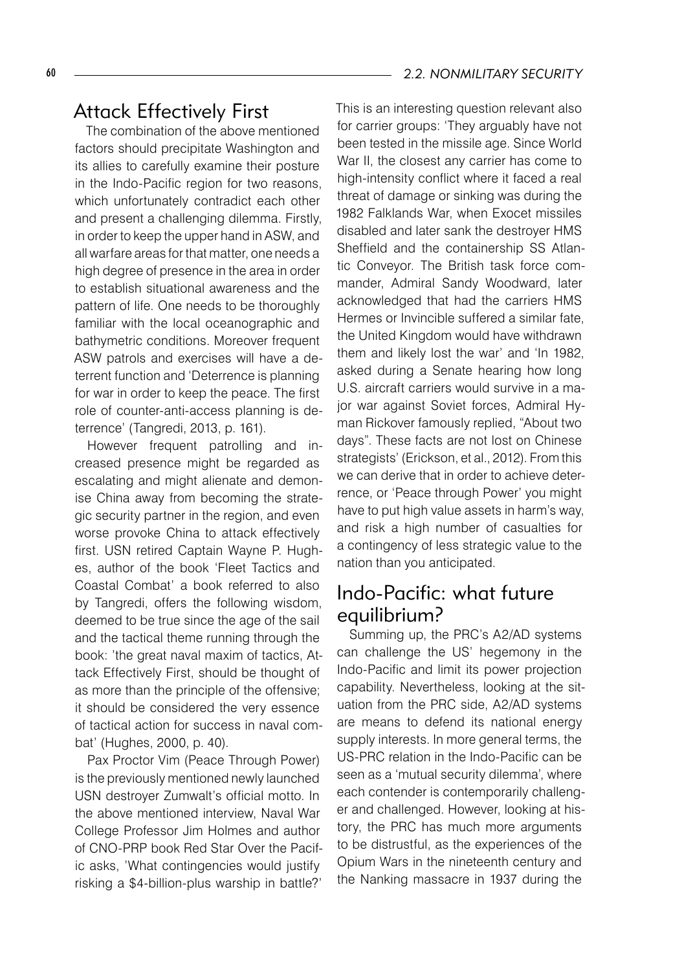#### 60 *2.2. NONMILITARY SECURITY*

## Attack Effectively First

The combination of the above mentioned factors should precipitate Washington and its allies to carefully examine their posture in the Indo-Pacific region for two reasons, which unfortunately contradict each other and present a challenging dilemma. Firstly, in order to keep the upper hand in ASW, and all warfare areas for that matter, one needs a high degree of presence in the area in order to establish situational awareness and the pattern of life. One needs to be thoroughly familiar with the local oceanographic and bathymetric conditions. Moreover frequent ASW patrols and exercises will have a deterrent function and 'Deterrence is planning for war in order to keep the peace. The first role of counter-anti-access planning is deterrence' (Tangredi, 2013, p. 161).

However frequent patrolling and increased presence might be regarded as escalating and might alienate and demonise China away from becoming the strategic security partner in the region, and even worse provoke China to attack effectively first. USN retired Captain Wayne P. Hughes, author of the book 'Fleet Tactics and Coastal Combat' a book referred to also by Tangredi, offers the following wisdom, deemed to be true since the age of the sail and the tactical theme running through the book: 'the great naval maxim of tactics, Attack Effectively First, should be thought of as more than the principle of the offensive; it should be considered the very essence of tactical action for success in naval combat' (Hughes, 2000, p. 40).

Pax Proctor Vim (Peace Through Power) is the previously mentioned newly launched USN destroyer Zumwalt's official motto. In the above mentioned interview, Naval War College Professor Jim Holmes and author of CNO-PRP book Red Star Over the Pacific asks, 'What contingencies would justify risking a \$4-billion-plus warship in battle?' This is an interesting question relevant also for carrier groups: 'They arguably have not been tested in the missile age. Since World War II, the closest any carrier has come to high-intensity conflict where it faced a real threat of damage or sinking was during the 1982 Falklands War, when Exocet missiles disabled and later sank the destroyer HMS Sheffield and the containership SS Atlantic Conveyor. The British task force commander, Admiral Sandy Woodward, later acknowledged that had the carriers HMS Hermes or Invincible suffered a similar fate, the United Kingdom would have withdrawn them and likely lost the war' and 'In 1982, asked during a Senate hearing how long U.S. aircraft carriers would survive in a major war against Soviet forces, Admiral Hyman Rickover famously replied, "About two days". These facts are not lost on Chinese strategists' (Erickson, et al., 2012). From this we can derive that in order to achieve deterrence, or 'Peace through Power' you might have to put high value assets in harm's way, and risk a high number of casualties for a contingency of less strategic value to the nation than you anticipated.

### Indo-Pacific: what future equilibrium?

Summing up, the PRC's A2/AD systems can challenge the US' hegemony in the Indo-Pacific and limit its power projection capability. Nevertheless, looking at the situation from the PRC side, A2/AD systems are means to defend its national energy supply interests. In more general terms, the US-PRC relation in the Indo-Pacific can be seen as a 'mutual security dilemma', where each contender is contemporarily challenger and challenged. However, looking at history, the PRC has much more arguments to be distrustful, as the experiences of the Opium Wars in the nineteenth century and the Nanking massacre in 1937 during the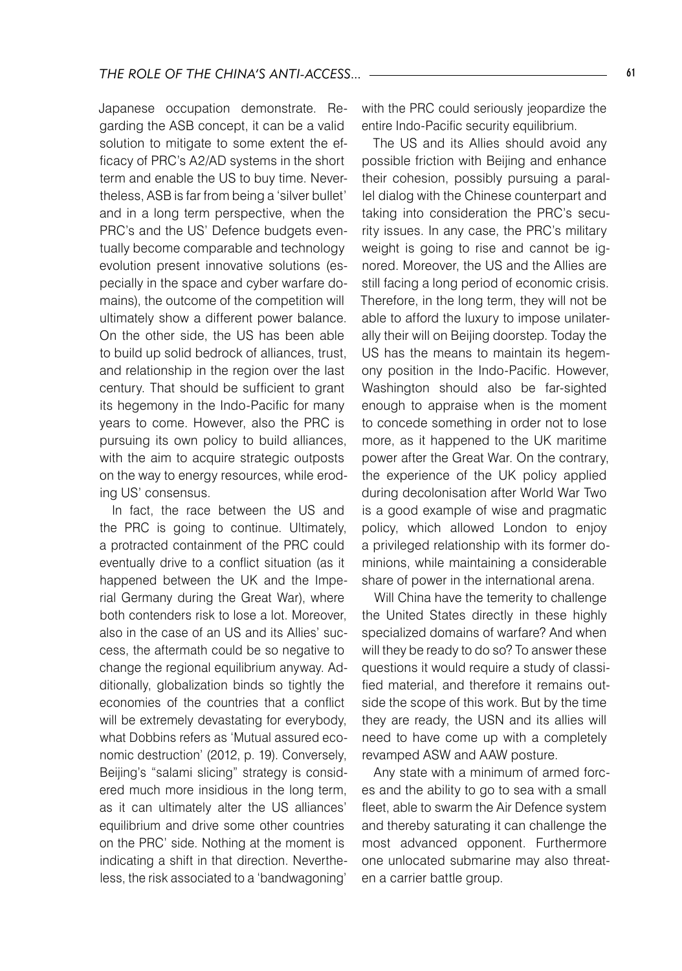Japanese occupation demonstrate. Regarding the ASB concept, it can be a valid solution to mitigate to some extent the efficacy of PRC's A2/AD systems in the short term and enable the US to buy time. Nevertheless, ASB is far from being a 'silver bullet' and in a long term perspective, when the PRC's and the US' Defence budgets eventually become comparable and technology evolution present innovative solutions (especially in the space and cyber warfare domains), the outcome of the competition will ultimately show a different power balance. On the other side, the US has been able to build up solid bedrock of alliances, trust, and relationship in the region over the last century. That should be sufficient to grant its hegemony in the Indo-Pacific for many years to come. However, also the PRC is pursuing its own policy to build alliances, with the aim to acquire strategic outposts on the way to energy resources, while eroding US' consensus.

In fact, the race between the US and the PRC is going to continue. Ultimately, a protracted containment of the PRC could eventually drive to a conflict situation (as it happened between the UK and the Imperial Germany during the Great War), where both contenders risk to lose a lot. Moreover, also in the case of an US and its Allies' success, the aftermath could be so negative to change the regional equilibrium anyway. Additionally, globalization binds so tightly the economies of the countries that a conflict will be extremely devastating for everybody, what Dobbins refers as 'Mutual assured economic destruction' (2012, p. 19). Conversely, Beijing's "salami slicing" strategy is considered much more insidious in the long term, as it can ultimately alter the US alliances' equilibrium and drive some other countries on the PRC' side. Nothing at the moment is indicating a shift in that direction. Nevertheless, the risk associated to a 'bandwagoning'

with the PRC could seriously jeopardize the entire Indo-Pacific security equilibrium.

The US and its Allies should avoid any possible friction with Beijing and enhance their cohesion, possibly pursuing a parallel dialog with the Chinese counterpart and taking into consideration the PRC's security issues. In any case, the PRC's military weight is going to rise and cannot be ignored. Moreover, the US and the Allies are still facing a long period of economic crisis. Therefore, in the long term, they will not be able to afford the luxury to impose unilaterally their will on Beijing doorstep. Today the US has the means to maintain its hegemony position in the Indo-Pacific. However, Washington should also be far-sighted enough to appraise when is the moment to concede something in order not to lose more, as it happened to the UK maritime power after the Great War. On the contrary, the experience of the UK policy applied during decolonisation after World War Two is a good example of wise and pragmatic policy, which allowed London to enjoy a privileged relationship with its former dominions, while maintaining a considerable share of power in the international arena.

Will China have the temerity to challenge the United States directly in these highly specialized domains of warfare? And when will they be ready to do so? To answer these questions it would require a study of classified material, and therefore it remains outside the scope of this work. But by the time they are ready, the USN and its allies will need to have come up with a completely revamped ASW and AAW posture.

Any state with a minimum of armed forces and the ability to go to sea with a small fleet, able to swarm the Air Defence system and thereby saturating it can challenge the most advanced opponent. Furthermore one unlocated submarine may also threaten a carrier battle group.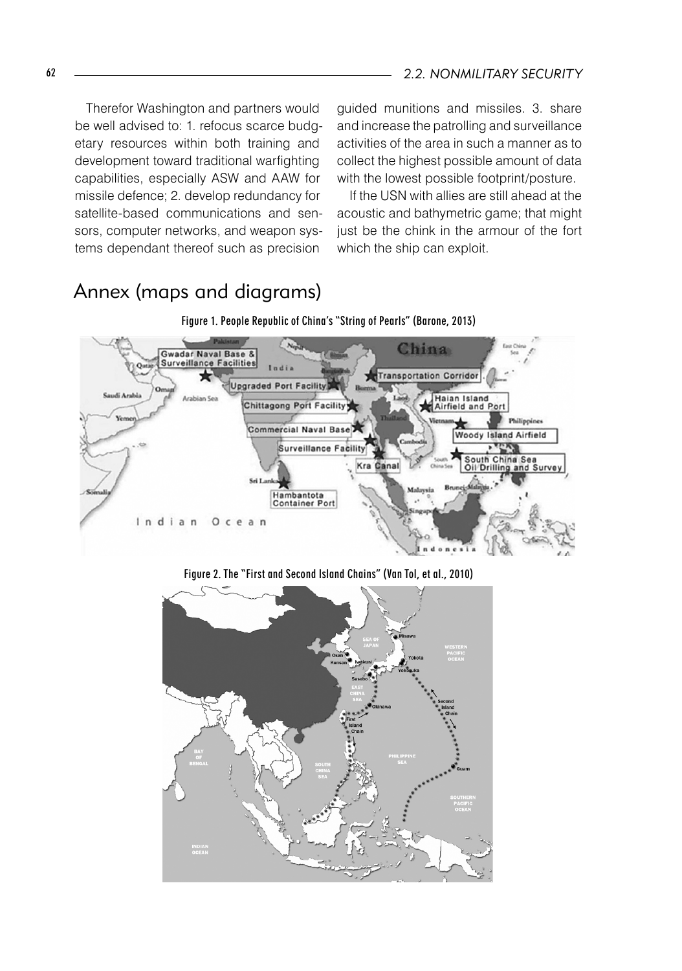Therefor Washington and partners would be well advised to: 1. refocus scarce budgetary resources within both training and development toward traditional warfighting capabilities, especially ASW and AAW for missile defence; 2. develop redundancy for satellite-based communications and sensors, computer networks, and weapon systems dependant thereof such as precision

guided munitions and missiles. 3. share and increase the patrolling and surveillance activities of the area in such a manner as to collect the highest possible amount of data with the lowest possible footprint/posture.

If the USN with allies are still ahead at the acoustic and bathymetric game; that might just be the chink in the armour of the fort which the ship can exploit.

# Annex (maps and diagrams)



Figure 2. The "First and Second Island Chains" (Van Tol, et al., 2010)

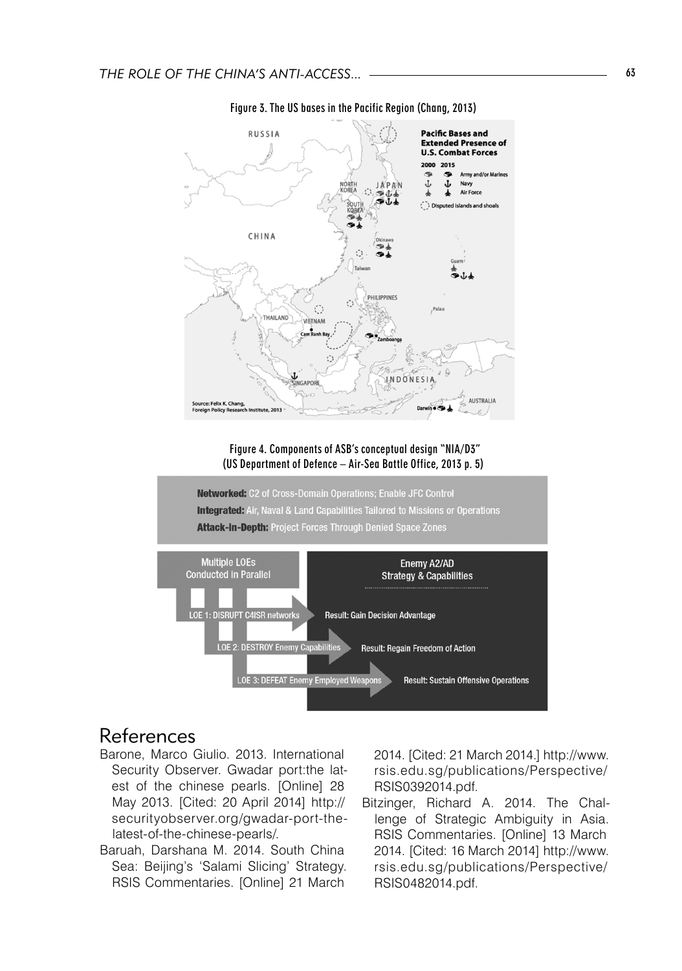

Figure 3. The US bases in the Pacific Region (Chang, 2013)

#### References

- Barone, Marco Giulio. 2013. International Security Observer. Gwadar port:the latest of the chinese pearls. [Online] 28 May 2013. [Cited: 20 April 2014] http:// securityobserver.org/gwadar-port-thelatest-of-the-chinese-pearls/.
- Baruah, Darshana M. 2014. South China Sea: Beijing's 'Salami Slicing' Strategy. RSIS Commentaries. [Online] 21 March

2014. [Cited: 21 March 2014.] http://www. rsis.edu.sg/publications/Perspective/ RSIS0392014.pdf.

Bitzinger, Richard A. 2014. The Challenge of Strategic Ambiguity in Asia. RSIS Commentaries. [Online] 13 March 2014. [Cited: 16 March 2014] http://www. rsis.edu.sg/publications/Perspective/ RSIS0482014.pdf.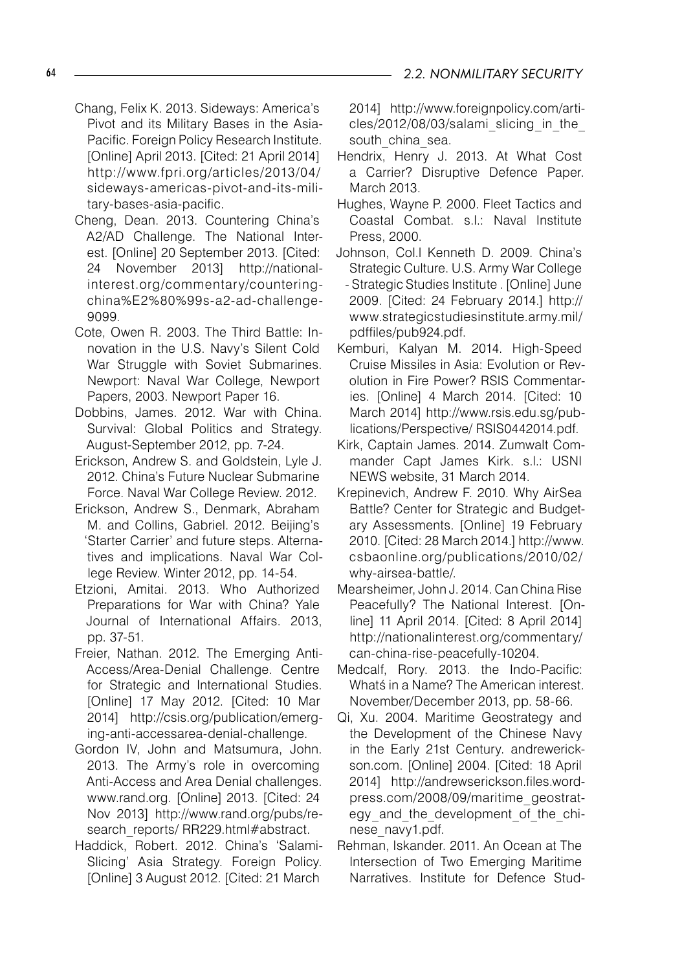- Chang, Felix K. 2013. Sideways: America's Pivot and its Military Bases in the Asia-Pacific. Foreign Policy Research Institute. [Online] April 2013. [Cited: 21 April 2014] http://www.fpri.org/articles/2013/04/ sideways-americas-pivot-and-its-military-bases-asia-pacific.
- Cheng, Dean. 2013. Countering China's A2/AD Challenge. The National Interest. [Online] 20 September 2013. [Cited: 24 November 2013] http://nationalinterest.org/commentary/counteringchina%E2%80%99s-a2-ad-challenge-9099.
- Cote, Owen R. 2003. The Third Battle: Innovation in the U.S. Navy's Silent Cold War Struggle with Soviet Submarines. Newport: Naval War College, Newport Papers, 2003. Newport Paper 16.
- Dobbins, James. 2012. War with China. Survival: Global Politics and Strategy. August-September 2012, pp. 7-24.
- Erickson, Andrew S. and Goldstein, Lyle J. 2012. China's Future Nuclear Submarine Force. Naval War College Review. 2012.
- Erickson, Andrew S., Denmark, Abraham M. and Collins, Gabriel. 2012. Beijing's 'Starter Carrier' and future steps. Alternatives and implications. Naval War College Review. Winter 2012, pp. 14-54.
- Etzioni, Amitai. 2013. Who Authorized Preparations for War with China? Yale Journal of International Affairs. 2013, pp. 37-51.
- Freier, Nathan. 2012. The Emerging Anti-Access/Area-Denial Challenge. Centre for Strategic and International Studies. [Online] 17 May 2012. [Cited: 10 Mar 2014] http://csis.org/publication/emerging-anti-accessarea-denial-challenge.
- Gordon IV, John and Matsumura, John. 2013. The Army's role in overcoming Anti-Access and Area Denial challenges. www.rand.org. [Online] 2013. [Cited: 24 Nov 2013] http://www.rand.org/pubs/research\_reports/ RR229.html#abstract.
- Haddick, Robert. 2012. China's 'Salami-Slicing' Asia Strategy. Foreign Policy. [Online] 3 August 2012. [Cited: 21 March

2014] http://www.foreignpolicy.com/articles/2012/08/03/salami\_slicing\_in\_the south china sea.

- Hendrix, Henry J. 2013. At What Cost a Carrier? Disruptive Defence Paper. March 2013.
- Hughes, Wayne P. 2000. Fleet Tactics and Coastal Combat. s.l.: Naval Institute Press, 2000.
- Johnson, Col.l Kenneth D. 2009. China's Strategic Culture. U.S. Army War College - Strategic Studies Institute . [Online] June 2009. [Cited: 24 February 2014.] http:// www.strategicstudiesinstitute.army.mil/ pdffiles/pub924.pdf.
- Kemburi, Kalyan M. 2014. High-Speed Cruise Missiles in Asia: Evolution or Revolution in Fire Power? RSIS Commentaries. [Online] 4 March 2014. [Cited: 10 March 2014] http://www.rsis.edu.sg/publications/Perspective/ RSIS0442014.pdf.
- Kirk, Captain James. 2014. Zumwalt Commander Capt James Kirk. s.l.: USNI NEWS website, 31 March 2014.
- Krepinevich, Andrew F. 2010. Why AirSea Battle? Center for Strategic and Budgetary Assessments. [Online] 19 February 2010. [Cited: 28 March 2014.] http://www. csbaonline.org/publications/2010/02/ why-airsea-battle/.
- Mearsheimer, John J. 2014. Can China Rise Peacefully? The National Interest. [Online] 11 April 2014. [Cited: 8 April 2014] http://nationalinterest.org/commentary/ can-china-rise-peacefully-10204.
- Medcalf, Rory. 2013. the Indo-Pacific: Whatś in a Name? The American interest. November/December 2013, pp. 58-66.
- Qi, Xu. 2004. Maritime Geostrategy and the Development of the Chinese Navy in the Early 21st Century. andrewerickson.com. [Online] 2004. [Cited: 18 April 2014] http://andrewserickson.files.wordpress.com/2008/09/maritime\_geostrategy and the development of the chinese\_navy1.pdf.
- Rehman, Iskander. 2011. An Ocean at The Intersection of Two Emerging Maritime Narratives. Institute for Defence Stud-